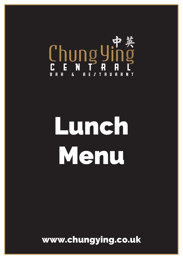

# Lunch Menu

www.chungying.co.uk